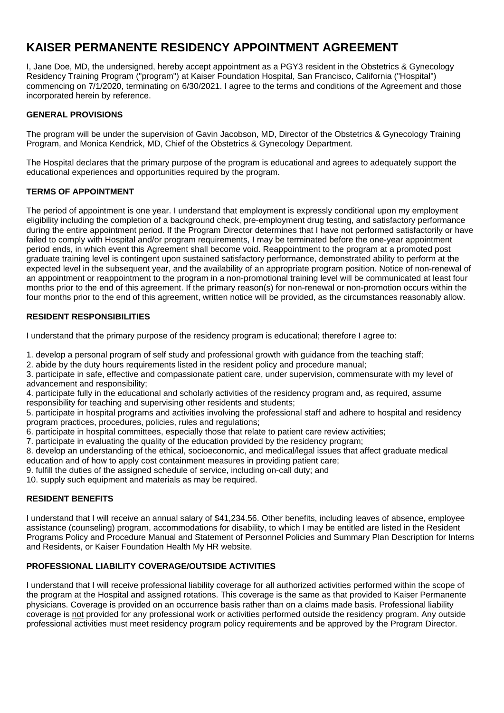# **KAISER PERMANENTE RESIDENCY APPOINTMENT AGREEMENT**

I, Jane Doe, MD, the undersigned, hereby accept appointment as a PGY3 resident in the Obstetrics & Gynecology Residency Training Program ("program") at Kaiser Foundation Hospital, San Francisco, California ("Hospital") commencing on 7/1/2020, terminating on 6/30/2021. I agree to the terms and conditions of the Agreement and those incorporated herein by reference.

# **GENERAL PROVISIONS**

The program will be under the supervision of Gavin Jacobson, MD, Director of the Obstetrics & Gynecology Training Program, and Monica Kendrick, MD, Chief of the Obstetrics & Gynecology Department.

The Hospital declares that the primary purpose of the program is educational and agrees to adequately support the educational experiences and opportunities required by the program.

# **TERMS OF APPOINTMENT**

The period of appointment is one year. I understand that employment is expressly conditional upon my employment eligibility including the completion of a background check, pre-employment drug testing, and satisfactory performance during the entire appointment period. If the Program Director determines that I have not performed satisfactorily or have failed to comply with Hospital and/or program requirements, I may be terminated before the one-year appointment period ends, in which event this Agreement shall become void. Reappointment to the program at a promoted post graduate training level is contingent upon sustained satisfactory performance, demonstrated ability to perform at the expected level in the subsequent year, and the availability of an appropriate program position. Notice of non-renewal of an appointment or reappointment to the program in a non-promotional training level will be communicated at least four months prior to the end of this agreement. If the primary reason(s) for non-renewal or non-promotion occurs within the four months prior to the end of this agreement, written notice will be provided, as the circumstances reasonably allow.

# **RESIDENT RESPONSIBILITIES**

I understand that the primary purpose of the residency program is educational; therefore I agree to:

1. develop a personal program of self study and professional growth with guidance from the teaching staff;

2. abide by the duty hours requirements listed in the resident policy and procedure manual;

3. participate in safe, effective and compassionate patient care, under supervision, commensurate with my level of advancement and responsibility;

4. participate fully in the educational and scholarly activities of the residency program and, as required, assume responsibility for teaching and supervising other residents and students;

5. participate in hospital programs and activities involving the professional staff and adhere to hospital and residency program practices, procedures, policies, rules and regulations;

6. participate in hospital committees, especially those that relate to patient care review activities;

7. participate in evaluating the quality of the education provided by the residency program;

8. develop an understanding of the ethical, socioeconomic, and medical/legal issues that affect graduate medical education and of how to apply cost containment measures in providing patient care;

9. fulfill the duties of the assigned schedule of service, including on-call duty; and

10. supply such equipment and materials as may be required.

## **RESIDENT BENEFITS**

I understand that I will receive an annual salary of \$41,234.56. Other benefits, including leaves of absence, employee assistance (counseling) program, accommodations for disability, to which I may be entitled are listed in the Resident Programs Policy and Procedure Manual and Statement of Personnel Policies and Summary Plan Description for Interns and Residents, or Kaiser Foundation Health My HR website.

# **PROFESSIONAL LIABILITY COVERAGE/OUTSIDE ACTIVITIES**

I understand that I will receive professional liability coverage for all authorized activities performed within the scope of the program at the Hospital and assigned rotations. This coverage is the same as that provided to Kaiser Permanente physicians. Coverage is provided on an occurrence basis rather than on a claims made basis. Professional liability coverage is not provided for any professional work or activities performed outside the residency program. Any outside professional activities must meet residency program policy requirements and be approved by the Program Director.